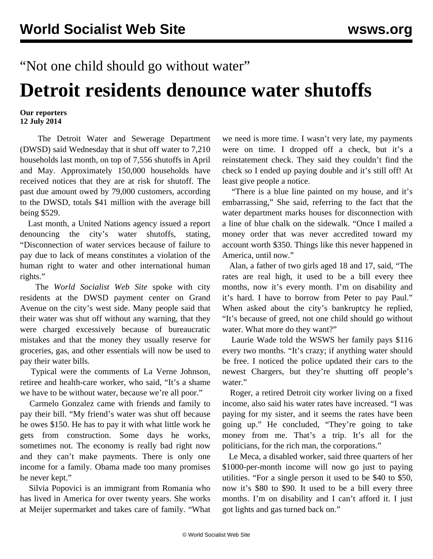## "Not one child should go without water"

## **Detroit residents denounce water shutoffs**

## **Our reporters 12 July 2014**

 The Detroit Water and Sewerage Department (DWSD) said Wednesday that it shut off water to 7,210 households last month, on top of 7,556 shutoffs in April and May. Approximately 150,000 households have received notices that they are at risk for shutoff. The past due amount owed by 79,000 customers, according to the DWSD, totals \$41 million with the average bill being \$529.

 Last month, a United Nations agency issued a report denouncing the city's water shutoffs, stating, "Disconnection of water services because of failure to pay due to lack of means constitutes a violation of the human right to water and other international human rights."

 The *World Socialist Web Site* spoke with city residents at the DWSD payment center on Grand Avenue on the city's west side. Many people said that their water was shut off without any warning, that they were charged excessively because of bureaucratic mistakes and that the money they usually reserve for groceries, gas, and other essentials will now be used to pay their water bills.

 Typical were the comments of La Verne Johnson, retiree and health-care worker, who said, "It's a shame we have to be without water, because we're all poor."

 Carmelo Gonzalez came with friends and family to pay their bill. "My friend's water was shut off because he owes \$150. He has to pay it with what little work he gets from construction. Some days he works, sometimes not. The economy is really bad right now and they can't make payments. There is only one income for a family. Obama made too many promises he never kept."

 Silvia Popovici is an immigrant from Romania who has lived in America for over twenty years. She works at Meijer supermarket and takes care of family. "What we need is more time. I wasn't very late, my payments were on time. I dropped off a check, but it's a reinstatement check. They said they couldn't find the check so I ended up paying double and it's still off! At least give people a notice.

 "There is a blue line painted on my house, and it's embarrassing," She said, referring to the fact that the water department marks houses for disconnection with a line of blue chalk on the sidewalk. "Once I mailed a money order that was never accredited toward my account worth \$350. Things like this never happened in America, until now."

 Alan, a father of two girls aged 18 and 17, said, "The rates are real high, it used to be a bill every thee months, now it's every month. I'm on disability and it's hard. I have to borrow from Peter to pay Paul." When asked about the city's bankruptcy he replied, "It's because of greed, not one child should go without water. What more do they want?"

 Laurie Wade told the WSWS her family pays \$116 every two months. "It's crazy; if anything water should be free. I noticed the police updated their cars to the newest Chargers, but they're shutting off people's water."

 Roger, a retired Detroit city worker living on a fixed income, also said his water rates have increased. "I was paying for my sister, and it seems the rates have been going up." He concluded, "They're going to take money from me. That's a trip. It's all for the politicians, for the rich man, the corporations."

 Le Meca, a disabled worker, said three quarters of her \$1000-per-month income will now go just to paying utilities. "For a single person it used to be \$40 to \$50, now it's \$80 to \$90. It used to be a bill every three months. I'm on disability and I can't afford it. I just got lights and gas turned back on."